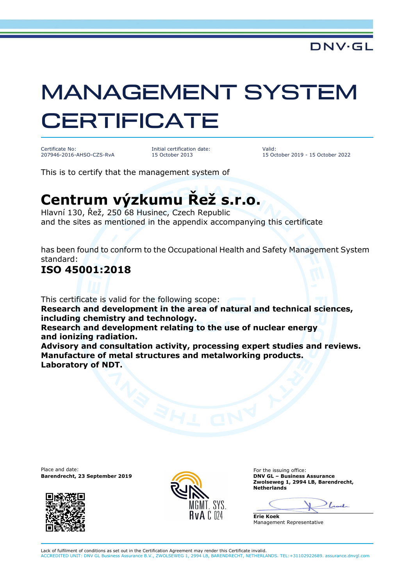# MANAGEMENT SYSTEM **CERTIFICATE**

Certificate No: 207946-2016-AHSO-CZS-RvA Initial certification date: 15 October 2013

Valid: 15 October 2019 - 15 October 2022

This is to certify that the management system of

## **Centrum výzkumu Řež s.r.o.**

Hlavní 130, Řež, 250 68 Husinec, Czech Republic and the sites as mentioned in the appendix accompanying this certificate

has been found to conform to the Occupational Health and Safety Management System standard:

#### **ISO 45001:2018**

This certificate is valid for the following scope: **Research and development in the area of natural and technical sciences, including chemistry and technology. Research and development relating to the use of nuclear energy and ionizing radiation. Advisory and consultation activity, processing expert studies and reviews. Manufacture of metal structures and metalworking products. Laboratory of NDT.** 

Place and date:<br> **Place and date:** For the issuing office:<br> **Barendrecht.** 23 September 2019 **Barendrecht, 23 September 2019** 





**Zwolseweg 1, 2994 LB, Barendrecht, Netherlands** 

 $\mathcal{L}$ 

**Erie Koek** Management Representative

Lack of fulfilment of conditions as set out in the Certification Agreement may render this Certificate invalid. ACCREDITED UNIT: DNV GL Business Assurance B.V., ZWOLSEWEG 1, 2994 LB, BARENDRECHT, NETHERLANDS. TEL:+31102922689. assurance.dnvgl.com